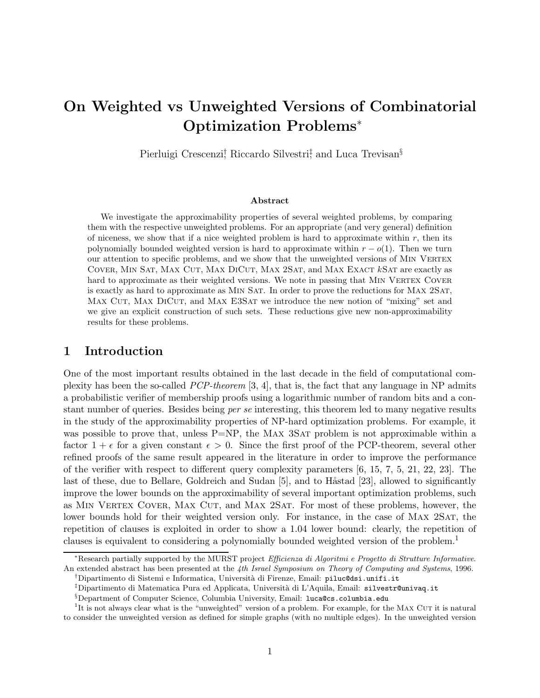# On Weighted vs Unweighted Versions of Combinatorial Optimization Problems<sup>∗</sup>

Pierluigi Crescenzi<sup>†</sup>, Riccardo Silvestri<sup>‡</sup> and Luca Trevisan<sup>§</sup>

#### Abstract

We investigate the approximability properties of several weighted problems, by comparing them with the respective unweighted problems. For an appropriate (and very general) definition of niceness, we show that if a nice weighted problem is hard to approximate within  $r$ , then its polynomially bounded weighted version is hard to approximate within  $r - o(1)$ . Then we turn our attention to specific problems, and we show that the unweighted versions of MIN VERTEX COVER, MIN SAT, MAX CUT, MAX DICUT, MAX 2SAT, and MAX EXACT kSAT are exactly as hard to approximate as their weighted versions. We note in passing that MIN VERTEX COVER is exactly as hard to approximate as MIN SAT. In order to prove the reductions for MAX 2SAT, MAX CUT, MAX DICUT, and MAX E3SAT we introduce the new notion of "mixing" set and we give an explicit construction of such sets. These reductions give new non-approximability results for these problems.

### 1 Introduction

One of the most important results obtained in the last decade in the field of computational complexity has been the so-called *PCP-theorem* [3, 4], that is, the fact that any language in NP admits a probabilistic verifier of membership proofs using a logarithmic number of random bits and a constant number of queries. Besides being *per se* interesting, this theorem led to many negative results in the study of the approximability properties of NP-hard optimization problems. For example, it was possible to prove that, unless  $P=NP$ , the MAX 3SAT problem is not approximable within a factor  $1 + \epsilon$  for a given constant  $\epsilon > 0$ . Since the first proof of the PCP-theorem, several other refined proofs of the same result appeared in the literature in order to improve the performance of the verifier with respect to different query complexity parameters [6, 15, 7, 5, 21, 22, 23]. The last of these, due to Bellare, Goldreich and Sudan  $[5]$ , and to Håstad  $[23]$ , allowed to significantly improve the lower bounds on the approximability of several important optimization problems, such as Min Vertex Cover, Max Cut, and Max 2Sat. For most of these problems, however, the lower bounds hold for their weighted version only. For instance, in the case of MAX 2SAT, the repetition of clauses is exploited in order to show a 1.04 lower bound: clearly, the repetition of clauses is equivalent to considering a polynomially bounded weighted version of the problem.<sup>1</sup>

<sup>∗</sup>Research partially supported by the MURST project Efficienza di Algoritmi e Progetto di Strutture Informative. An extended abstract has been presented at the 4th Israel Symposium on Theory of Computing and Systems, 1996.

<sup>†</sup>Dipartimento di Sistemi e Informatica, Universit`a di Firenze, Email: piluc@dsi.unifi.it

<sup>‡</sup>Dipartimento di Matematica Pura ed Applicata, Universit`a di L'Aquila, Email: silvestr@univaq.it

<sup>§</sup>Department of Computer Science, Columbia University, Email: luca@cs.columbia.edu

<sup>&</sup>lt;sup>1</sup>It is not always clear what is the "unweighted" version of a problem. For example, for the MAX CUT it is natural to consider the unweighted version as defined for simple graphs (with no multiple edges). In the unweighted version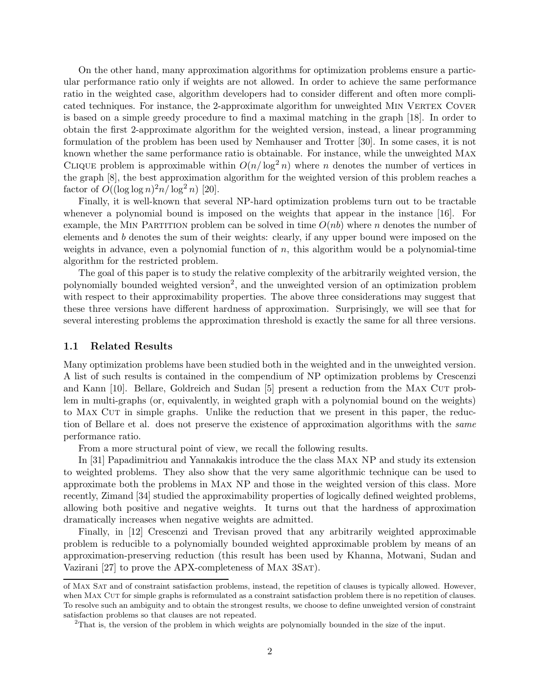On the other hand, many approximation algorithms for optimization problems ensure a particular performance ratio only if weights are not allowed. In order to achieve the same performance ratio in the weighted case, algorithm developers had to consider different and often more complicated techniques. For instance, the 2-approximate algorithm for unweighted MIN VERTEX COVER is based on a simple greedy procedure to find a maximal matching in the graph [18]. In order to obtain the first 2-approximate algorithm for the weighted version, instead, a linear programming formulation of the problem has been used by Nemhauser and Trotter [30]. In some cases, it is not known whether the same performance ratio is obtainable. For instance, while the unweighted Max CLIQUE problem is approximable within  $O(n/\log^2 n)$  where n denotes the number of vertices in the graph [8], the best approximation algorithm for the weighted version of this problem reaches a factor of  $O((\log \log n)^2 n / \log^2 n)$  [20].

Finally, it is well-known that several NP-hard optimization problems turn out to be tractable whenever a polynomial bound is imposed on the weights that appear in the instance [16]. For example, the MIN PARTITION problem can be solved in time  $O(nb)$  where n denotes the number of elements and b denotes the sum of their weights: clearly, if any upper bound were imposed on the weights in advance, even a polynomial function of  $n$ , this algorithm would be a polynomial-time algorithm for the restricted problem.

The goal of this paper is to study the relative complexity of the arbitrarily weighted version, the polynomially bounded weighted version<sup>2</sup>, and the unweighted version of an optimization problem with respect to their approximability properties. The above three considerations may suggest that these three versions have different hardness of approximation. Surprisingly, we will see that for several interesting problems the approximation threshold is exactly the same for all three versions.

#### 1.1 Related Results

Many optimization problems have been studied both in the weighted and in the unweighted version. A list of such results is contained in the compendium of NP optimization problems by Crescenzi and Kann [10]. Bellare, Goldreich and Sudan [5] present a reduction from the MAX CUT problem in multi-graphs (or, equivalently, in weighted graph with a polynomial bound on the weights) to MAX CUT in simple graphs. Unlike the reduction that we present in this paper, the reduction of Bellare et al. does not preserve the existence of approximation algorithms with the *same* performance ratio.

From a more structural point of view, we recall the following results.

In [31] Papadimitriou and Yannakakis introduce the the class Max NP and study its extension to weighted problems. They also show that the very same algorithmic technique can be used to approximate both the problems in Max NP and those in the weighted version of this class. More recently, Zimand [34] studied the approximability properties of logically defined weighted problems, allowing both positive and negative weights. It turns out that the hardness of approximation dramatically increases when negative weights are admitted.

Finally, in [12] Crescenzi and Trevisan proved that any arbitrarily weighted approximable problem is reducible to a polynomially bounded weighted approximable problem by means of an approximation-preserving reduction (this result has been used by Khanna, Motwani, Sudan and Vazirani [27] to prove the APX-completeness of MAX 3SAT).

of Max Sat and of constraint satisfaction problems, instead, the repetition of clauses is typically allowed. However, when MAX Cut for simple graphs is reformulated as a constraint satisfaction problem there is no repetition of clauses. To resolve such an ambiguity and to obtain the strongest results, we choose to define unweighted version of constraint satisfaction problems so that clauses are not repeated.

<sup>2</sup>That is, the version of the problem in which weights are polynomially bounded in the size of the input.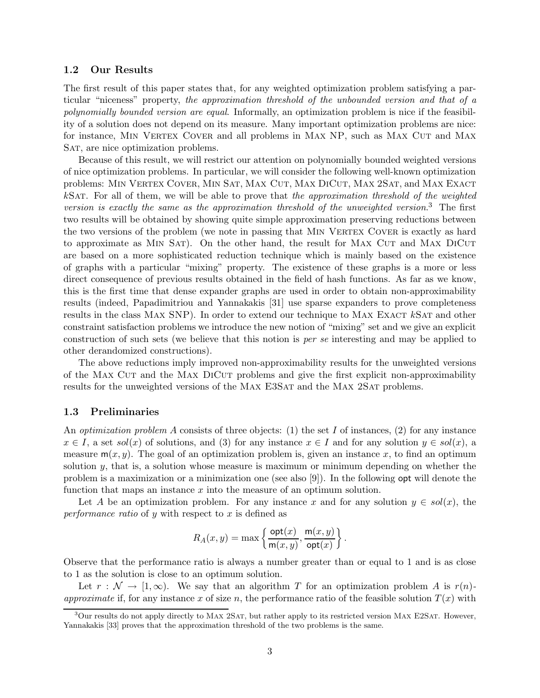### 1.2 Our Results

The first result of this paper states that, for any weighted optimization problem satisfying a particular "niceness" property, *the approximation threshold of the unbounded version and that of a polynomially bounded version are equal*. Informally, an optimization problem is nice if the feasibility of a solution does not depend on its measure. Many important optimization problems are nice: for instance, MIN VERTEX COVER and all problems in MAX NP, such as MAX CUT and MAX SAT, are nice optimization problems.

Because of this result, we will restrict our attention on polynomially bounded weighted versions of nice optimization problems. In particular, we will consider the following well-known optimization problems: MIN VERTEX COVER, MIN SAT, MAX CUT, MAX DICUT, MAX 2SAT, and MAX EXACT kSat. For all of them, we will be able to prove that *the approximation threshold of the weighted version is exactly the same as the approximation threshold of the unweighted version*. <sup>3</sup> The first two results will be obtained by showing quite simple approximation preserving reductions between the two versions of the problem (we note in passing that MIN VERTEX COVER is exactly as hard to approximate as MIN SAT). On the other hand, the result for MAX CUT and MAX DICUT are based on a more sophisticated reduction technique which is mainly based on the existence of graphs with a particular "mixing" property. The existence of these graphs is a more or less direct consequence of previous results obtained in the field of hash functions. As far as we know, this is the first time that dense expander graphs are used in order to obtain non-approximability results (indeed, Papadimitriou and Yannakakis [31] use sparse expanders to prove completeness results in the class MAX SNP). In order to extend our technique to MAX EXACT kSAT and other constraint satisfaction problems we introduce the new notion of "mixing" set and we give an explicit construction of such sets (we believe that this notion is *per se* interesting and may be applied to other derandomized constructions).

The above reductions imply improved non-approximability results for the unweighted versions of the Max Cut and the Max DiCut problems and give the first explicit non-approximability results for the unweighted versions of the MAX E3SAT and the MAX 2SAT problems.

### 1.3 Preliminaries

An *optimization problem* A consists of three objects: (1) the set I of instances, (2) for any instance  $x \in I$ , a set sol(x) of solutions, and (3) for any instance  $x \in I$  and for any solution  $y \in sol(x)$ , a measure  $m(x, y)$ . The goal of an optimization problem is, given an instance x, to find an optimum solution  $\gamma$ , that is, a solution whose measure is maximum or minimum depending on whether the problem is a maximization or a minimization one (see also [9]). In the following opt will denote the function that maps an instance  $x$  into the measure of an optimum solution.

Let A be an optimization problem. For any instance x and for any solution  $y \in sol(x)$ , the *performance ratio* of y with respect to x is defined as

$$
R_A(x, y) = \max \left\{ \frac{\text{opt}(x)}{\text{m}(x, y)}, \frac{\text{m}(x, y)}{\text{opt}(x)} \right\}.
$$

Observe that the performance ratio is always a number greater than or equal to 1 and is as close to 1 as the solution is close to an optimum solution.

Let  $r : \mathcal{N} \to [1,\infty)$ . We say that an algorithm T for an optimization problem A is  $r(n)$ *approximate* if, for any instance x of size n, the performance ratio of the feasible solution  $T(x)$  with

<sup>&</sup>lt;sup>3</sup>Our results do not apply directly to MAX 2SAT, but rather apply to its restricted version MAX E2SAT. However, Yannakakis [33] proves that the approximation threshold of the two problems is the same.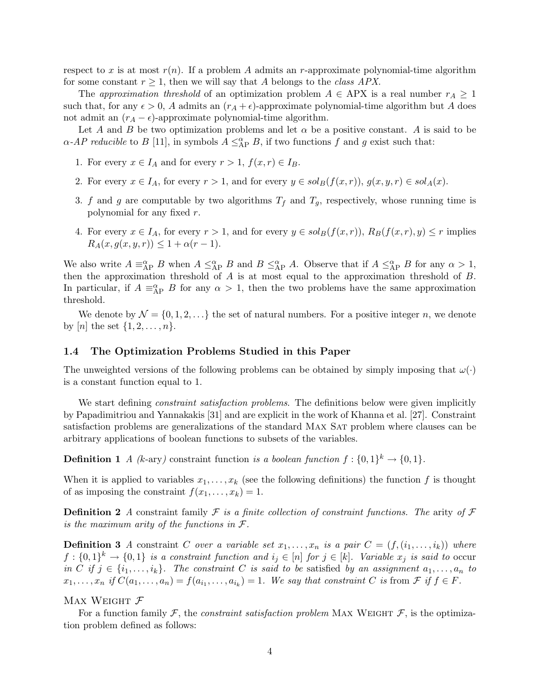respect to x is at most  $r(n)$ . If a problem A admits an r-approximate polynomial-time algorithm for some constant  $r \geq 1$ , then we will say that A belongs to the *class APX*.

The *approximation threshold* of an optimization problem  $A \in APX$  is a real number  $r_A \geq 1$ such that, for any  $\epsilon > 0$ , A admits an  $(r_A + \epsilon)$ -approximate polynomial-time algorithm but A does not admit an  $(r_A - \epsilon)$ -approximate polynomial-time algorithm.

Let A and B be two optimization problems and let  $\alpha$  be a positive constant. A is said to be  $\alpha$ -*AP reducible* to *B* [11], in symbols  $A \leq_{\text{AP}}^{\alpha} B$ , if two functions f and g exist such that:

- 1. For every  $x \in I_A$  and for every  $r > 1$ ,  $f(x, r) \in I_B$ .
- 2. For every  $x \in I_A$ , for every  $r > 1$ , and for every  $y \in sol_B(f(x,r))$ ,  $g(x, y, r) \in sol_A(x)$ .
- 3. f and g are computable by two algorithms  $T_f$  and  $T_g$ , respectively, whose running time is polynomial for any fixed r.
- 4. For every  $x \in I_A$ , for every  $r > 1$ , and for every  $y \in sol_B(f(x,r))$ ,  $R_B(f(x,r), y) \leq r$  implies  $R_A(x, q(x, y, r)) \leq 1 + \alpha(r - 1).$

We also write  $A \equiv_{AP}^{\alpha} B$  when  $A \leq_{AP}^{\alpha} B$  and  $B \leq_{AP}^{\alpha} A$ . Observe that if  $A \leq_{AP}^{\alpha} B$  for any  $\alpha > 1$ , then the approximation threshold of  $A$  is at most equal to the approximation threshold of  $B$ . In particular, if  $A \equiv_{AP}^{\alpha} B$  for any  $\alpha > 1$ , then the two problems have the same approximation threshold.

We denote by  $\mathcal{N} = \{0, 1, 2, \ldots\}$  the set of natural numbers. For a positive integer n, we denote by [n] the set  $\{1, 2, ..., n\}$ .

### 1.4 The Optimization Problems Studied in this Paper

The unweighted versions of the following problems can be obtained by simply imposing that  $\omega(\cdot)$ is a constant function equal to 1.

We start defining *constraint satisfaction problems*. The definitions below were given implicitly by Papadimitriou and Yannakakis [31] and are explicit in the work of Khanna et al. [27]. Constraint satisfaction problems are generalizations of the standard Max Sat problem where clauses can be arbitrary applications of boolean functions to subsets of the variables.

**Definition 1** *A* (*k*-ary) constraint function *is a boolean function*  $f: \{0, 1\}^k \to \{0, 1\}.$ 

When it is applied to variables  $x_1, \ldots, x_k$  (see the following definitions) the function f is thought of as imposing the constraint  $f(x_1, \ldots, x_k) = 1$ .

**Definition 2** A constraint family  $\mathcal F$  *is a finite collection of constraint functions. The arity of*  $\mathcal F$ *is the maximum arity of the functions in* F*.*

**Definition 3** *A* constraint *C over a variable set*  $x_1, \ldots, x_n$  *is a pair*  $C = (f, (i_1, \ldots, i_k))$  *where*  $f: \{0,1\}^k \to \{0,1\}$  *is a constraint function and*  $i_j \in [n]$  *for*  $j \in [k]$ *. Variable*  $x_j$  *is said to* occur *in* C if  $j \in \{i_1, \ldots, i_k\}$ . The constraint C is said to be satisfied by an assignment  $a_1, \ldots, a_n$  to  $x_1, \ldots, x_n$  if  $C(a_1, \ldots, a_n) = f(a_{i_1}, \ldots, a_{i_k}) = 1$ . We say that constraint C is from  $\mathcal{F}$  if  $f \in F$ .

### MAX WEIGHT  $\mathcal F$

For a function family  $\mathcal{F}$ , the *constraint satisfaction problem* MAX WEIGHT  $\mathcal{F}$ , is the optimization problem defined as follows: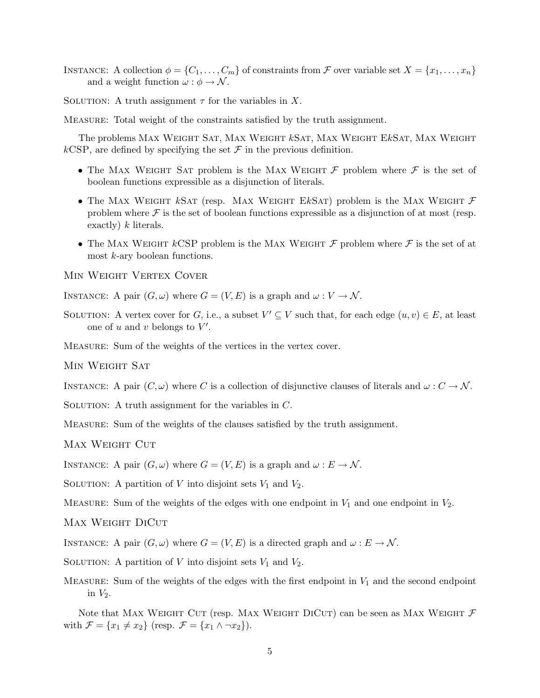INSTANCE: A collection  $\phi = \{C_1, \ldots, C_m\}$  of constraints from  $\mathcal F$  over variable set  $X = \{x_1, \ldots, x_n\}$ and a weight function  $\omega : \phi \to \mathcal{N}$ .

SOLUTION: A truth assignment  $\tau$  for the variables in X.

Measure: Total weight of the constraints satisfied by the truth assignment.

The problems Max Weight Sat, Max Weight kSat, Max Weight EkSat, Max Weight kCSP, are defined by specifying the set  $\mathcal F$  in the previous definition.

- The Max WEIGHT SAT problem is the Max WEIGHT  $\mathcal F$  problem where  $\mathcal F$  is the set of boolean functions expressible as a disjunction of literals.
- The Max Weight kSat (resp. Max Weight EkSat) problem is the Max Weight  $\mathcal F$ problem where  $\mathcal F$  is the set of boolean functions expressible as a disjunction of at most (resp. exactly)  $k$  literals.
- The MAX WEIGHT kCSP problem is the MAX WEIGHT  $\mathcal F$  problem where  $\mathcal F$  is the set of at most k-ary boolean functions.

MIN WEIGHT VERTEX COVER

INSTANCE: A pair  $(G, \omega)$  where  $G = (V, E)$  is a graph and  $\omega : V \to \mathcal{N}$ .

SOLUTION: A vertex cover for G, i.e., a subset  $V' \subseteq V$  such that, for each edge  $(u, v) \in E$ , at least one of  $u$  and  $v$  belongs to  $V'$ .

Measure: Sum of the weights of the vertices in the vertex cover.

MIN WEIGHT SAT

INSTANCE: A pair  $(C, \omega)$  where C is a collection of disjunctive clauses of literals and  $\omega : C \to \mathcal{N}$ .

SOLUTION: A truth assignment for the variables in  $C$ .

Measure: Sum of the weights of the clauses satisfied by the truth assignment.

MAX WEIGHT CUT

INSTANCE: A pair  $(G, \omega)$  where  $G = (V, E)$  is a graph and  $\omega : E \to \mathcal{N}$ .

SOLUTION: A partition of V into disjoint sets  $V_1$  and  $V_2$ .

MEASURE: Sum of the weights of the edges with one endpoint in  $V_1$  and one endpoint in  $V_2$ .

MAX WEIGHT DICUT

INSTANCE: A pair  $(G, \omega)$  where  $G = (V, E)$  is a directed graph and  $\omega : E \to \mathcal{N}$ .

SOLUTION: A partition of V into disjoint sets  $V_1$  and  $V_2$ .

MEASURE: Sum of the weights of the edges with the first endpoint in  $V_1$  and the second endpoint in  $V_2$ .

Note that MAX WEIGHT CUT (resp. MAX WEIGHT DICUT) can be seen as MAX WEIGHT  $\mathcal F$ with  $\mathcal{F} = \{x_1 \neq x_2\}$  (resp.  $\mathcal{F} = \{x_1 \land \neg x_2\}$ ).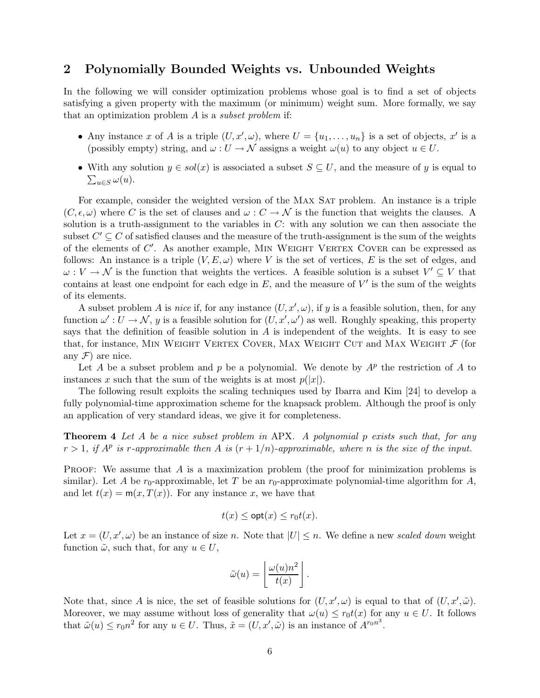# 2 Polynomially Bounded Weights vs. Unbounded Weights

In the following we will consider optimization problems whose goal is to find a set of objects satisfying a given property with the maximum (or minimum) weight sum. More formally, we say that an optimization problem A is a *subset problem* if:

- Any instance x of A is a triple  $(U, x', \omega)$ , where  $U = \{u_1, \ldots, u_n\}$  is a set of objects, x' is a (possibly empty) string, and  $\omega: U \to \mathcal{N}$  assigns a weight  $\omega(u)$  to any object  $u \in U$ .
- With any solution  $y \in sol(x)$  is associated a subset  $S \subseteq U$ , and the measure of y is equal to  $\sum_{u\in S}\omega(u).$

For example, consider the weighted version of the Max Sat problem. An instance is a triple  $(C, \epsilon, \omega)$  where C is the set of clauses and  $\omega : C \to \mathcal{N}$  is the function that weights the clauses. A solution is a truth-assignment to the variables in  $C$ : with any solution we can then associate the subset  $C' \subseteq C$  of satisfied clauses and the measure of the truth-assignment is the sum of the weights of the elements of C'. As another example, MIN WEIGHT VERTEX COVER can be expressed as follows: An instance is a triple  $(V, E, \omega)$  where V is the set of vertices, E is the set of edges, and  $\omega: V \to \mathcal{N}$  is the function that weights the vertices. A feasible solution is a subset  $V' \subseteq V$  that contains at least one endpoint for each edge in  $E$ , and the measure of  $V'$  is the sum of the weights of its elements.

A subset problem A is *nice* if, for any instance  $(U, x', \omega)$ , if y is a feasible solution, then, for any function  $\omega': U \to \mathcal{N}$ , y is a feasible solution for  $(U, x', \omega')$  as well. Roughly speaking, this property says that the definition of feasible solution in  $A$  is independent of the weights. It is easy to see that, for instance, MIN WEIGHT VERTEX COVER, MAX WEIGHT CUT and MAX WEIGHT  $\mathcal F$  (for any  $\mathcal{F}$  are nice.

Let A be a subset problem and p be a polynomial. We denote by  $A^p$  the restriction of A to instances x such that the sum of the weights is at most  $p(|x|)$ .

The following result exploits the scaling techniques used by Ibarra and Kim [24] to develop a fully polynomial-time approximation scheme for the knapsack problem. Although the proof is only an application of very standard ideas, we give it for completeness.

Theorem 4 *Let* A *be a nice subset problem in* APX*. A polynomial* p *exists such that, for any*  $r > 1$ , if  $A^p$  is r-approximable then A is  $(r + 1/n)$ -approximable, where n is the size of the input.

**PROOF:** We assume that A is a maximization problem (the proof for minimization problems is similar). Let A be  $r_0$ -approximable, let T be an  $r_0$ -approximate polynomial-time algorithm for A, and let  $t(x) = m(x, T(x))$ . For any instance x, we have that

$$
t(x) \le \mathsf{opt}(x) \le r_0 t(x).
$$

Let  $x = (U, x', \omega)$  be an instance of size n. Note that  $|U| \leq n$ . We define a new *scaled down* weight function  $\tilde{\omega}$ , such that, for any  $u \in U$ ,

$$
\tilde{\omega}(u) = \left\lfloor \frac{\omega(u)n^2}{t(x)} \right\rfloor.
$$

Note that, since A is nice, the set of feasible solutions for  $(U, x', \omega)$  is equal to that of  $(U, x', \tilde{\omega})$ . Moreover, we may assume without loss of generality that  $\omega(u) \le r_0 t(x)$  for any  $u \in U$ . It follows that  $\tilde{\omega}(u) \leq r_0 n^2$  for any  $u \in U$ . Thus,  $\tilde{x} = (U, x', \tilde{\omega})$  is an instance of  $A^{r_0 n^3}$ .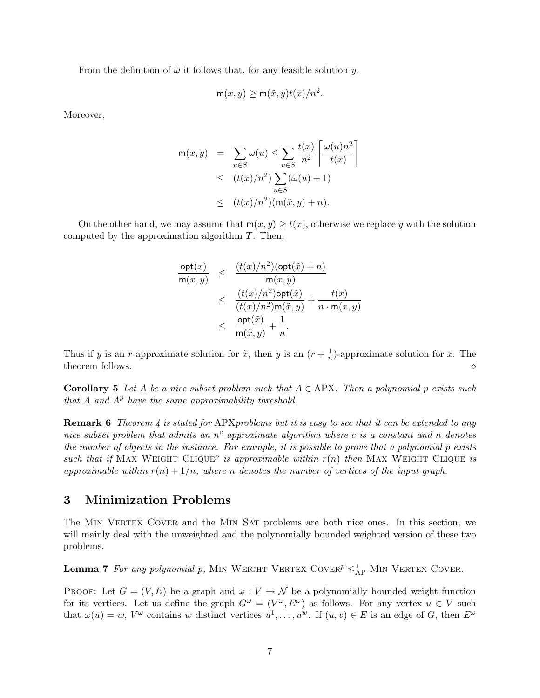From the definition of  $\tilde{\omega}$  it follows that, for any feasible solution y,

$$
m(x, y) \ge m(\tilde{x}, y)t(x)/n^2.
$$

Moreover,

$$
\begin{array}{rcl} \mathsf{m}(x,y) & = & \sum_{u \in S} \omega(u) \leq \sum_{u \in S} \frac{t(x)}{n^2} \left[ \frac{\omega(u)n^2}{t(x)} \right] \\ & \leq & (t(x)/n^2) \sum_{u \in S} (\tilde{\omega}(u) + 1) \\ & \leq & (t(x)/n^2)(\mathsf{m}(\tilde{x}, y) + n). \end{array}
$$

On the other hand, we may assume that  $m(x, y) \ge t(x)$ , otherwise we replace y with the solution computed by the approximation algorithm T. Then,

$$
\frac{\mathsf{opt}(x)}{\mathsf{m}(x,y)} \leq \frac{(t(x)/n^2)(\mathsf{opt}(\tilde{x})+n)}{\mathsf{m}(x,y)} \n\leq \frac{(t(x)/n^2)\mathsf{opt}(\tilde{x})}{(t(x)/n^2)\mathsf{m}(\tilde{x},y)} + \frac{t(x)}{n \cdot \mathsf{m}(x,y)} \n\leq \frac{\mathsf{opt}(\tilde{x})}{\mathsf{m}(\tilde{x},y)} + \frac{1}{n}.
$$

Thus if y is an r-approximate solution for  $\tilde{x}$ , then y is an  $(r + \frac{1}{n})$  $\frac{1}{n}$ )-approximate solution for x. The theorem follows.  $\Diamond$ 

**Corollary 5** Let A be a nice subset problem such that  $A \in \text{APX}$ . Then a polynomial p exists such *that* A *and* A<sup>p</sup> *have the same approximability threshold.*

Remark 6 *Theorem 4 is stated for* APX*problems but it is easy to see that it can be extended to any nice subset problem that admits an* n c *-approximate algorithm where* c *is a constant and* n *denotes the number of objects in the instance. For example, it is possible to prove that a polynomial* p *exists* such that if MAX WEIGHT CLIQUE<sup>p</sup> is approximable within  $r(n)$  then MAX WEIGHT CLIQUE is *approximable within*  $r(n) + 1/n$ *, where* n *denotes the number of vertices of the input graph.* 

### 3 Minimization Problems

The MIN VERTEX COVER and the MIN SAT problems are both nice ones. In this section, we will mainly deal with the unweighted and the polynomially bounded weighted version of these two problems.

**Lemma 7** For any polynomial p, MIN WEIGHT VERTEX COVER<sup>p</sup>  $\leq_{AP}^{1}$  MIN VERTEX COVER.

PROOF: Let  $G = (V, E)$  be a graph and  $\omega : V \to \mathcal{N}$  be a polynomially bounded weight function for its vertices. Let us define the graph  $G^{\omega} = (V^{\omega}, E^{\omega})$  as follows. For any vertex  $u \in V$  such that  $\omega(u) = w$ ,  $V^{\omega}$  contains w distinct vertices  $u^1, \dots, u^w$ . If  $(u, v) \in E$  is an edge of G, then  $E^{\omega}$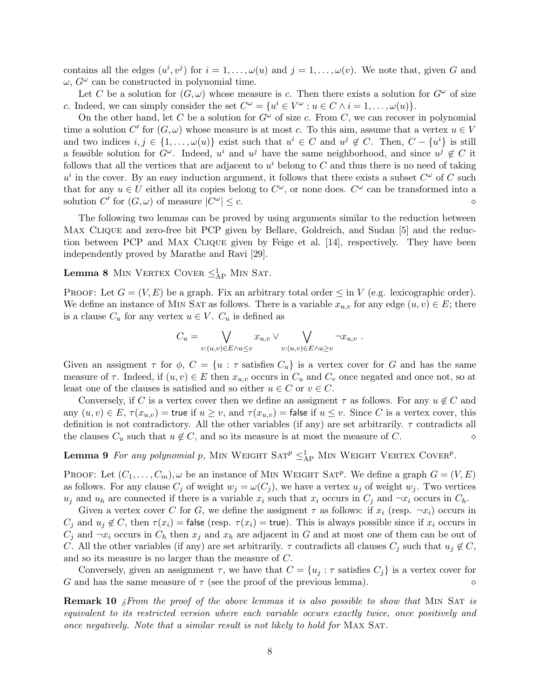contains all the edges  $(u^i, v^j)$  for  $i = 1, \ldots, \omega(u)$  and  $j = 1, \ldots, \omega(v)$ . We note that, given G and  $\omega$ ,  $G^{\omega}$  can be constructed in polynomial time.

Let C be a solution for  $(G, \omega)$  whose measure is c. Then there exists a solution for  $G^{\omega}$  of size c. Indeed, we can simply consider the set  $C^{\omega} = \{u^{i} \in V^{\omega} : u \in C \wedge i = 1, ..., \omega(u)\}.$ 

On the other hand, let C be a solution for  $G^{\omega}$  of size c. From C, we can recover in polynomial time a solution  $C'$  for  $(G, \omega)$  whose measure is at most c. To this aim, assume that a vertex  $u \in V$ and two indices  $i, j \in \{1, ..., \omega(u)\}$  exist such that  $u^i \in C$  and  $u^j \notin C$ . Then,  $C - \{u^i\}$  is still a feasible solution for  $G^{\omega}$ . Indeed,  $u^{i}$  and  $u^{j}$  have the same neighborhood, and since  $u^{j} \notin C$  it follows that all the vertices that are adjacent to  $u^i$  belong to C and thus there is no need of taking  $u^i$  in the cover. By an easy induction argument, it follows that there exists a subset  $C^{\omega}$  of C such that for any  $u \in U$  either all its copies belong to  $C^{\omega}$ , or none does.  $C^{\omega}$  can be transformed into a solution  $C'$  for  $(G, \omega)$  of measure  $|C|$  $\omega$ |  $\leq$  c.  $\qquad \qquad \diamond$ 

The following two lemmas can be proved by using arguments similar to the reduction between Max Clique and zero-free bit PCP given by Bellare, Goldreich, and Sudan [5] and the reduction between PCP and Max Clique given by Feige et al. [14], respectively. They have been independently proved by Marathe and Ravi [29].

**Lemma 8** MIN VERTEX COVER  $\leq^1_{AP}$  MIN SAT.

PROOF: Let  $G = (V, E)$  be a graph. Fix an arbitrary total order  $\leq$  in V (e.g. lexicographic order). We define an instance of MIN SAT as follows. There is a variable  $x_{u,v}$  for any edge  $(u, v) \in E$ ; there is a clause  $C_u$  for any vertex  $u \in V$ .  $C_u$  is defined as

$$
C_u = \bigvee_{v:(u,v)\in E \wedge u \leq v} x_{u,v} \vee \bigvee_{v:(u,v)\in E \wedge u \geq v} \neg x_{u,v} .
$$

Given an assigment  $\tau$  for  $\phi$ ,  $C = \{u : \tau \text{ satisfies } C_u\}$  is a vertex cover for G and has the same measure of  $\tau$ . Indeed, if  $(u, v) \in E$  then  $x_{u,v}$  occurs in  $C_u$  and  $C_v$  once negated and once not, so at least one of the clauses is satisfied and so either  $u \in C$  or  $v \in C$ .

Conversely, if C is a vertex cover then we define an assigment  $\tau$  as follows. For any  $u \notin C$  and any  $(u, v) \in E$ ,  $\tau(x_{u,v}) =$  true if  $u \ge v$ , and  $\tau(x_{u,v}) =$  false if  $u \le v$ . Since C is a vertex cover, this definition is not contradictory. All the other variables (if any) are set arbitrarily.  $\tau$  contradicts all the clauses  $C_u$  such that  $u \notin C$ , and so its measure is at most the measure of C.

**Lemma 9** For any polynomial p, MIN WEIGHT  $SAT^p \leq^1_{AP}$  MIN WEIGHT VERTEX COVER<sup>p</sup>.

PROOF: Let  $(C_1, \ldots, C_m)$ ,  $\omega$  be an instance of MIN WEIGHT SAT<sup>p</sup>. We define a graph  $G = (V, E)$ as follows. For any clause  $C_j$  of weight  $w_j = \omega(C_j)$ , we have a vertex  $u_j$  of weight  $w_j$ . Two vertices  $u_j$  and  $u_h$  are connected if there is a variable  $x_i$  such that  $x_i$  occurs in  $C_j$  and  $\neg x_i$  occurs in  $C_h$ .

Given a vertex cover C for G, we define the assigment  $\tau$  as follows: if  $x_i$  (resp.  $\neg x_i$ ) occurs in  $C_i$  and  $u_i \notin C$ , then  $\tau(x_i) =$  false (resp.  $\tau(x_i) =$  true). This is always possible since if  $x_i$  occurs in  $C_j$  and  $\neg x_i$  occurs in  $C_h$  then  $x_j$  and  $x_h$  are adjacent in G and at most one of them can be out of C. All the other variables (if any) are set arbitrarily.  $\tau$  contradicts all clauses  $C_j$  such that  $u_j \notin C$ , and so its measure is no larger than the measure of C.

Conversely, given an assignment  $\tau$ , we have that  $C = \{u_i : \tau \text{ satisfies } C_i\}$  is a vertex cover for G and has the same measure of  $\tau$  (see the proof of the previous lemma).

Remark 10 *¿From the proof of the above lemmas it is also possible to show that* Min Sat *is equivalent to its restricted version where each variable occurs exactly twice, once positively and once negatively. Note that a similar result is not likely to hold for* MAX SAT.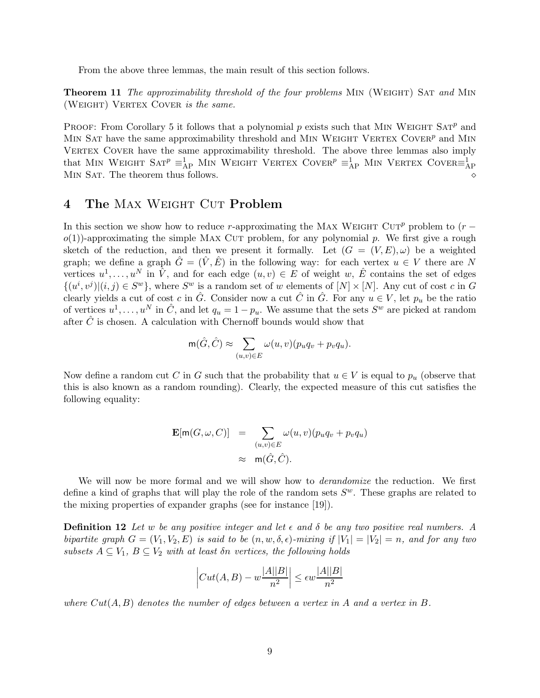From the above three lemmas, the main result of this section follows.

Theorem 11 *The approximability threshold of the four problems* Min (Weight) Sat *and* Min (Weight) Vertex Cover *is the same.*

PROOF: From Corollary 5 it follows that a polynomial  $p$  exists such that MIN WEIGHT SAT<sup>p</sup> and MIN SAT have the same approximability threshold and MIN WEIGHT VERTEX COVER<sup>p</sup> and MIN VERTEX COVER have the same approximability threshold. The above three lemmas also imply that Min Weight Sat<sup>p</sup>  $\equiv_{AP}^1$  Min Weight Vertex Cover<sup>p</sup>  $\equiv_{AP}^1$  Min Vertex Cover $\equiv_{AP}^1$ MIN SAT. The theorem thus follows.

### 4 The MAX WEIGHT CUT Problem

In this section we show how to reduce r-approximating the MAX WEIGHT CUT<sup>p</sup> problem to (r −  $o(1)$ -approximating the simple MAX CUT problem, for any polynomial p. We first give a rough sketch of the reduction, and then we present it formally. Let  $(G = (V, E), \omega)$  be a weighted graph; we define a graph  $\hat{G} = (\hat{V}, \hat{E})$  in the following way: for each vertex  $u \in V$  there are N vertices  $u^1, \ldots, u^N$  in  $\hat{V}$ , and for each edge  $(u, v) \in E$  of weight w,  $\hat{E}$  contains the set of edges  $\{(u^i, v^j) | (i, j) \in S^w\}$ , where  $S^w$  is a random set of w elements of  $[N] \times [N]$ . Any cut of cost c in G clearly yields a cut of cost c in  $\hat{G}$ . Consider now a cut  $\hat{C}$  in  $\hat{G}$ . For any  $u \in V$ , let  $p_u$  be the ratio of vertices  $u^1, \ldots, u^N$  in  $\hat{C}$ , and let  $q_u = 1 - p_u$ . We assume that the sets  $S^w$  are picked at random after  $\hat{C}$  is chosen. A calculation with Chernoff bounds would show that

$$
\mathsf{m}(\hat{G},\hat{C}) \approx \sum_{(u,v)\in E} \omega(u,v)(p_u q_v + p_v q_u).
$$

Now define a random cut C in G such that the probability that  $u \in V$  is equal to  $p_u$  (observe that this is also known as a random rounding). Clearly, the expected measure of this cut satisfies the following equality:

$$
\mathbf{E}[\mathsf{m}(G,\omega,C)] = \sum_{(u,v)\in E} \omega(u,v)(p_u q_v + p_v q_u)
$$
  

$$
\approx \mathsf{m}(\hat{G},\hat{C}).
$$

We will now be more formal and we will show how to *derandomize* the reduction. We first define a kind of graphs that will play the role of the random sets  $S^w$ . These graphs are related to the mixing properties of expander graphs (see for instance [19]).

**Definition 12** Let w be any positive integer and let  $\epsilon$  and  $\delta$  be any two positive real numbers. A *bipartite graph*  $G = (V_1, V_2, E)$  *is said to be*  $(n, w, \delta, \epsilon)$ *-mixing if*  $|V_1| = |V_2| = n$ *, and for any two subsets*  $A \subseteq V_1$ ,  $B \subseteq V_2$  *with at least on vertices, the following holds* 

$$
\left| Cut(A, B) - w \frac{|A||B|}{n^2} \right| \le \epsilon w \frac{|A||B|}{n^2}
$$

*where* Cut(A, B) *denotes the number of edges between a vertex in* A *and a vertex in* B*.*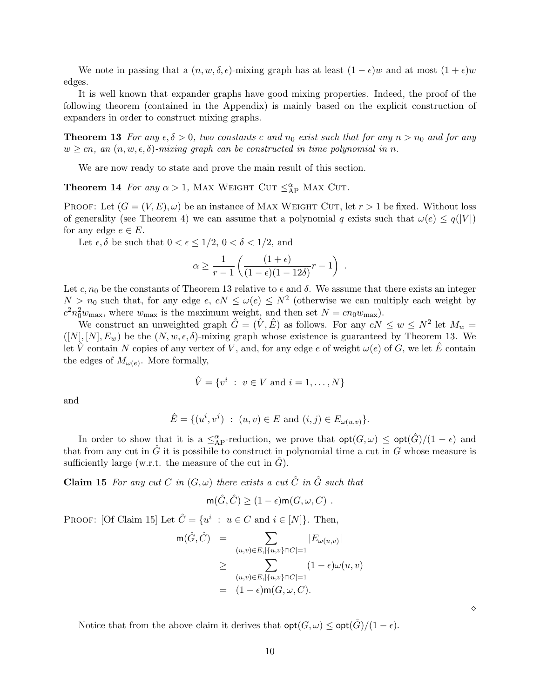We note in passing that a  $(n, w, \delta, \epsilon)$ -mixing graph has at least  $(1 - \epsilon)w$  and at most  $(1 + \epsilon)w$ edges.

It is well known that expander graphs have good mixing properties. Indeed, the proof of the following theorem (contained in the Appendix) is mainly based on the explicit construction of expanders in order to construct mixing graphs.

**Theorem 13** For any  $\epsilon, \delta > 0$ , two constants c and  $n_0$  exist such that for any  $n > n_0$  and for any  $w \geq cn$ , an  $(n, w, \epsilon, \delta)$ -mixing graph can be constructed in time polynomial in n.

We are now ready to state and prove the main result of this section.

**Theorem 14** For any  $\alpha > 1$ , MAX WEIGHT CUT  $\leq_{AP}^{\alpha}$  MAX CUT.

PROOF: Let  $(G = (V, E), \omega)$  be an instance of MAX WEIGHT CUT, let  $r > 1$  be fixed. Without loss of generality (see Theorem 4) we can assume that a polynomial q exists such that  $\omega(e) \leq q(|V|)$ for any edge  $e \in E$ .

Let  $\epsilon, \delta$  be such that  $0 < \epsilon \leq 1/2$ ,  $0 < \delta < 1/2$ , and

$$
\alpha \geq \frac{1}{r-1}\left(\frac{(1+\epsilon)}{(1-\epsilon)(1-12\delta)}r-1\right) .
$$

Let c,  $n_0$  be the constants of Theorem 13 relative to  $\epsilon$  and  $\delta$ . We assume that there exists an integer  $N > n_0$  such that, for any edge e,  $cN \leq \omega(e) \leq N^2$  (otherwise we can multiply each weight by  $c^2 n_0^2 w_{\text{max}}$ , where  $w_{\text{max}}$  is the maximum weight, and then set  $N = c n_0 w_{\text{max}}$ .

We construct an unweighted graph  $\hat{G} = (\hat{V}, \hat{E})$  as follows. For any  $cN \leq w \leq N^2$  let  $M_w =$  $([N], [N], E_w)$  be the  $(N, w, \epsilon, \delta)$ -mixing graph whose existence is guaranteed by Theorem 13. We let V contain N copies of any vertex of V, and, for any edge e of weight  $\omega(e)$  of G, we let E contain the edges of  $M_{\omega(e)}$ . More formally,

$$
\hat{V} = \{v^i : v \in V \text{ and } i = 1, ..., N\}
$$

and

$$
\hat{E} = \{ (u^i, v^j) : (u, v) \in E \text{ and } (i, j) \in E_{\omega(u, v)} \}.
$$

In order to show that it is a  $\leq_{\text{AP}}^{\alpha}$ -reduction, we prove that  $\textsf{opt}(G, \omega) \leq \textsf{opt}(\hat{G})/(1-\epsilon)$  and that from any cut in  $\hat{G}$  it is possibile to construct in polynomial time a cut in G whose measure is sufficiently large (w.r.t. the measure of the cut in  $\hat{G}$ ).

**Claim 15** For any cut C in  $(G, \omega)$  there exists a cut  $\hat{C}$  in  $\hat{G}$  such that

$$
\mathsf{m}(\hat{G}, \hat{C}) \ge (1 - \epsilon) \mathsf{m}(G, \omega, C) \ .
$$

PROOF: [Of Claim 15] Let  $\hat{C} = \{u^i : u \in C \text{ and } i \in [N]\}\$ . Then,

$$
m(\hat{G}, \hat{C}) = \sum_{(u,v)\in E, |\{u,v\}\cap C|=1} |E_{\omega(u,v)}|
$$
  
\n
$$
\geq \sum_{(u,v)\in E, |\{u,v\}\cap C|=1} (1-\epsilon)\omega(u,v)
$$
  
\n
$$
= (1-\epsilon)m(G, \omega, C).
$$

Notice that from the above claim it derives that  $\mathsf{opt}(G, \omega) \leq \mathsf{opt}(\hat{G})/(1 - \epsilon)$ .

⋄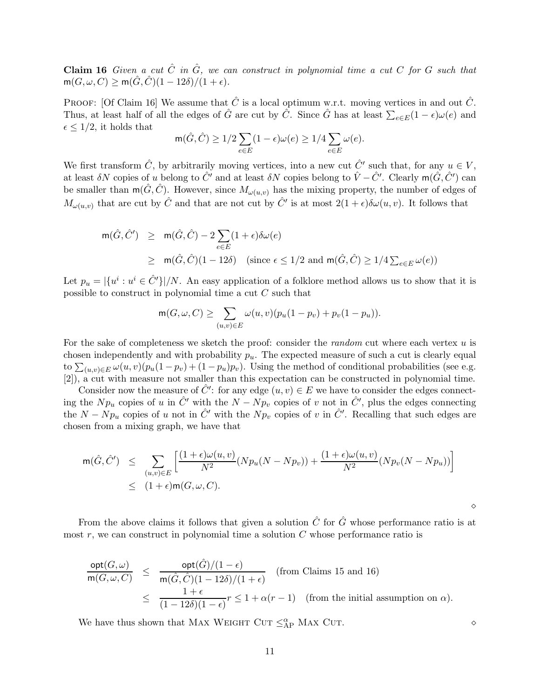**Claim 16** Given a cut  $\hat{C}$  in  $\hat{G}$ , we can construct in polynomial time a cut C for G such that  $m(G, \omega, C) \geq m(\hat{G}, \hat{C})(1 - 12\delta)/(1 + \epsilon).$ 

PROOF: [Of Claim 16] We assume that  $\hat{C}$  is a local optimum w.r.t. moving vertices in and out  $\hat{C}$ . Thus, at least half of all the edges of  $\hat{G}$  are cut by  $\hat{C}$ . Since  $\hat{G}$  has at least  $\sum_{e\in E}(1-e)\omega(e)$  and  $\epsilon \leq 1/2$ , it holds that

$$
m(\hat{G}, \hat{C}) \ge 1/2 \sum_{e \in E} (1 - \epsilon) \omega(e) \ge 1/4 \sum_{e \in E} \omega(e).
$$

We first transform  $\hat{C}$ , by arbitrarily moving vertices, into a new cut  $\hat{C}'$  such that, for any  $u \in V$ , at least  $\delta N$  copies of u belong to  $\hat{C}'$  and at least  $\delta N$  copies belong to  $\hat{V} - \hat{C}'$ . Clearly  $m(\hat{G}, \hat{C}')$  can be smaller than  $m(\hat{G}, \hat{C})$ . However, since  $M_{\omega(u,v)}$  has the mixing property, the number of edges of  $M_{\omega(u,v)}$  that are cut by  $\hat{C}$  and that are not cut by  $\hat{C}'$  is at most  $2(1+\epsilon)\delta\omega(u,v)$ . It follows that

$$
\begin{array}{lcl} \mathsf{m}(\hat{G}, \hat{C}') & \geq & \mathsf{m}(\hat{G}, \hat{C}) - 2\sum_{e \in E} (1+\epsilon)\delta\omega(e) \\ \\ & \geq & \mathsf{m}(\hat{G}, \hat{C})(1-12\delta) \quad \text{(since } \epsilon \leq 1/2 \text{ and } \mathsf{m}(\hat{G}, \hat{C}) \geq 1/4\sum_{e \in E} \omega(e) \text{)} \end{array}
$$

Let  $p_u = |\{u^i : u^i \in \hat{C}'\}|/N$ . An easy application of a folklore method allows us to show that it is possible to construct in polynomial time a cut C such that

$$
\mathsf{m}(G,\omega,C) \ge \sum_{(u,v)\in E} \omega(u,v)(p_u(1-p_v)+p_v(1-p_u)).
$$

For the sake of completeness we sketch the proof: consider the *random* cut where each vertex u is chosen independently and with probability  $p_u$ . The expected measure of such a cut is clearly equal to  $\sum_{(u,v)\in E} \omega(u,v)(p_u(1-p_v) + (1-p_u)p_v)$ . Using the method of conditional probabilities (see e.g. [2]), a cut with measure not smaller than this expectation can be constructed in polynomial time.

Consider now the measure of  $\hat{C}'$ : for any edge  $(u, v) \in E$  we have to consider the edges connecting the  $N p_u$  copies of u in  $\hat{C}'$  with the  $N - N p_v$  copies of v not in  $\hat{C}'$ , plus the edges connecting the  $N - N p_u$  copies of u not in  $\hat{C}'$  with the  $N p_v$  copies of v in  $\hat{C}'$ . Recalling that such edges are chosen from a mixing graph, we have that

$$
\begin{array}{rcl}\n\mathsf{m}(\hat{G}, \hat{C}') & \leq & \sum_{(u,v)\in E} \left[ \frac{(1+\epsilon)\omega(u,v)}{N^2} (Np_u(N - Np_v)) + \frac{(1+\epsilon)\omega(u,v)}{N^2} (Np_v(N - Np_u)) \right] \\
& \leq & (1+\epsilon)\mathsf{m}(G, \omega, C).\n\end{array}
$$

From the above claims it follows that given a solution  $\hat{C}$  for  $\hat{G}$  whose performance ratio is at most  $r$ , we can construct in polynomial time a solution  $C$  whose performance ratio is

$$
\frac{\mathsf{opt}(G,\omega)}{\mathsf{m}(G,\omega,\mathbb{C})} \leq \frac{\mathsf{opt}(\hat{G})/(1-\epsilon)}{\mathsf{m}(\hat{G},\hat{C})(1-12\delta)/(1+\epsilon)} \quad \text{(from Clains 15 and 16)}
$$
\n
$$
\leq \frac{1+\epsilon}{(1-12\delta)(1-\epsilon)} r \leq 1+\alpha(r-1) \quad \text{(from the initial assumption on } \alpha\text{).}
$$

We have thus shown that MAX WEIGHT CUT  $\leq^{\alpha}_{AP}$  MAX CUT.  $\diamond$ 

⋄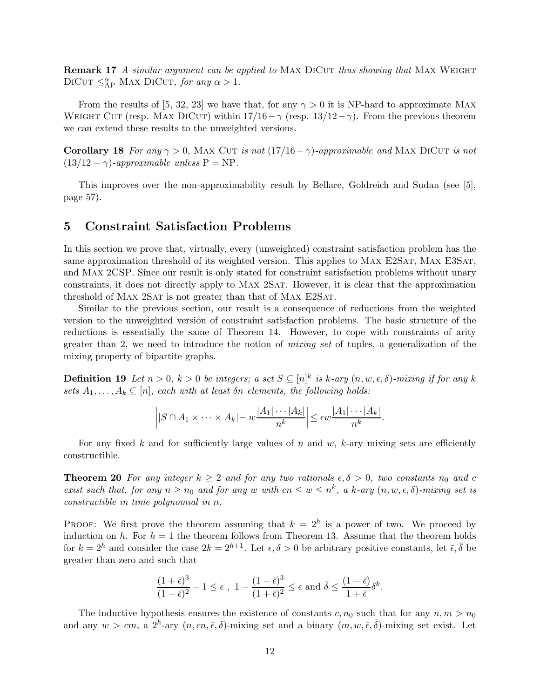**Remark 17** *A similar argument can be applied to* MAX DICUT *thus showing that* MAX WEIGHT DICUT  $\leq^{\alpha}_{AP}$  MAX DICUT*, for any*  $\alpha > 1$ *.* 

From the results of [5, 32, 23] we have that, for any  $\gamma > 0$  it is NP-hard to approximate MAX WEIGHT CUT (resp. MAX DICUT) within  $17/16-\gamma$  (resp.  $13/12-\gamma$ ). From the previous theorem we can extend these results to the unweighted versions.

Corollary 18 *For any*  $\gamma > 0$ , MAX CUT *is not* (17/16 -  $\gamma$ )-approximable and MAX DICUT *is not*  $(13/12 - \gamma)$ -*approximable unless*  $P = NP$ .

This improves over the non-approximability result by Bellare, Goldreich and Sudan (see [5], page 57).

### 5 Constraint Satisfaction Problems

In this section we prove that, virtually, every (unweighted) constraint satisfaction problem has the same approximation threshold of its weighted version. This applies to MAX E2SAT, MAX E3SAT, and Max 2CSP. Since our result is only stated for constraint satisfaction problems without unary constraints, it does not directly apply to Max 2Sat. However, it is clear that the approximation threshold of MAX 2SAT is not greater than that of MAX E2SAT.

Similar to the previous section, our result is a consequence of reductions from the weighted version to the unweighted version of constraint satisfaction problems. The basic structure of the reductions is essentially the same of Theorem 14. However, to cope with constraints of arity greater than 2, we need to introduce the notion of *mixing set* of tuples, a generalization of the mixing property of bipartite graphs.

**Definition 19** Let  $n > 0$ ,  $k > 0$  be integers; a set  $S \subseteq [n]^k$  is  $k$ -ary  $(n, w, \epsilon, \delta)$ -mixing if for any  $k$ *sets*  $A_1, \ldots, A_k \subseteq [n]$ *, each with at least on elements, the following holds:* 

$$
\left| |S \cap A_1 \times \cdots \times A_k| - w \frac{|A_1| \cdots |A_k|}{n^k} \right| \leq \epsilon w \frac{|A_1| \cdots |A_k|}{n^k}.
$$

For any fixed k and for sufficiently large values of n and w, k-ary mixing sets are efficiently constructible.

**Theorem 20** For any integer  $k \geq 2$  and for any two rationals  $\epsilon, \delta > 0$ , two constants  $n_0$  and c *exist such that, for any*  $n \geq n_0$  *and for any* w *with*  $cn \leq w \leq n^k$ , *a k*-*ary*  $(n, w, \epsilon, \delta)$ -*mixing set is constructible in time polynomial in* n*.*

PROOF: We first prove the theorem assuming that  $k = 2<sup>h</sup>$  is a power of two. We proceed by induction on h. For  $h = 1$  the theorem follows from Theorem 13. Assume that the theorem holds for  $k = 2^h$  and consider the case  $2k = 2^{h+1}$ . Let  $\epsilon, \delta > 0$  be arbitrary positive constants, let  $\bar{\epsilon}, \bar{\delta}$  be greater than zero and such that

$$
\frac{(1+\bar{\epsilon})^3}{(1-\bar{\epsilon})^2} - 1 \le \epsilon \ , \ 1 - \frac{(1-\bar{\epsilon})^3}{(1+\bar{\epsilon})^2} \le \epsilon \text{ and } \bar{\delta} \le \frac{(1-\bar{\epsilon})}{1+\bar{\epsilon}} \delta^k.
$$

The inductive hypothesis ensures the existence of constants c,  $n_0$  such that for any  $n, m > n_0$ and any  $w > cm$ , a  $2^h$ -ary  $(n, cn, \bar{\epsilon}, \delta)$ -mixing set and a binary  $(m, w, \bar{\epsilon}, \bar{\delta})$ -mixing set exist. Let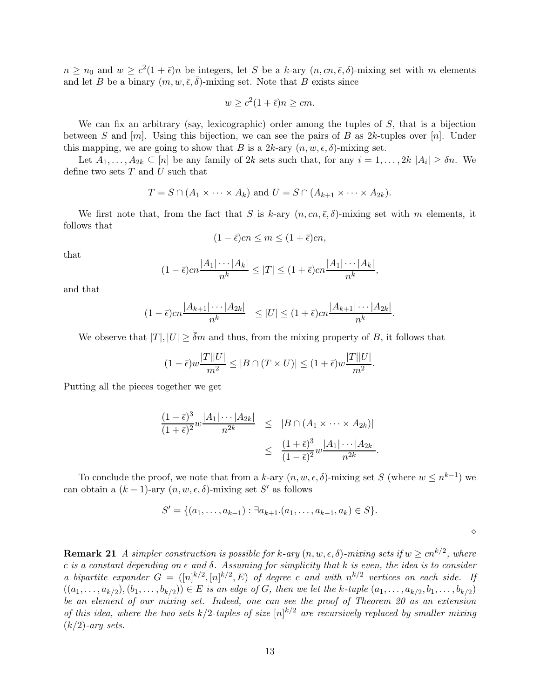$n \geq n_0$  and  $w \geq c^2(1+\bar{\epsilon})n$  be integers, let S be a k-ary  $(n, cn, \bar{\epsilon}, \delta)$ -mixing set with m elements and let B be a binary  $(m, w, \bar{\epsilon}, \bar{\delta})$ -mixing set. Note that B exists since

$$
w \ge c^2(1+\bar{\epsilon})n \ge cm.
$$

We can fix an arbitrary (say, lexicographic) order among the tuples of  $S$ , that is a bijection between S and  $[m]$ . Using this bijection, we can see the pairs of B as 2k-tuples over [n]. Under this mapping, we are going to show that B is a 2k-ary  $(n, w, \epsilon, \delta)$ -mixing set.

Let  $A_1, \ldots, A_{2k} \subseteq [n]$  be any family of  $2k$  sets such that, for any  $i = 1, \ldots, 2k |A_i| \geq \delta n$ . We define two sets  ${\cal T}$  and  ${\cal U}$  such that

$$
T = S \cap (A_1 \times \cdots \times A_k) \text{ and } U = S \cap (A_{k+1} \times \cdots \times A_{2k}).
$$

We first note that, from the fact that S is k-ary  $(n, cn, \bar{\epsilon}, \delta)$ -mixing set with m elements, it follows that

$$
(1 - \bar{\epsilon})cn \le m \le (1 + \bar{\epsilon})cn,
$$

that

$$
(1-\bar{\epsilon})cn\frac{|A_1|\cdots|A_k|}{n^k} \leq |T| \leq (1+\bar{\epsilon})cn\frac{|A_1|\cdots|A_k|}{n^k},
$$

and that

$$
(1-\bar{\epsilon})cn\frac{|A_{k+1}|\cdots|A_{2k}|}{n^k} \leq |U| \leq (1+\bar{\epsilon})cn\frac{|A_{k+1}|\cdots|A_{2k}|}{n^k}.
$$

We observe that  $|T|, |U| \ge \bar{\delta}m$  and thus, from the mixing property of B, it follows that

$$
(1 - \bar{\epsilon})w \frac{|T||U|}{m^2} \le |B \cap (T \times U)| \le (1 + \bar{\epsilon})w \frac{|T||U|}{m^2}.
$$

Putting all the pieces together we get

$$
\frac{(1-\bar{\epsilon})^3}{(1+\bar{\epsilon})^2} w \frac{|A_1| \cdots |A_{2k}|}{n^{2k}} \leq |B \cap (A_1 \times \cdots \times A_{2k})|
$$
  

$$
\leq \frac{(1+\bar{\epsilon})^3}{(1-\bar{\epsilon})^2} w \frac{|A_1| \cdots |A_{2k}|}{n^{2k}}.
$$

To conclude the proof, we note that from a k-ary  $(n, w, \epsilon, \delta)$ -mixing set S (where  $w \leq n^{k-1}$ ) we can obtain a  $(k-1)$ -ary  $(n, w, \epsilon, \delta)$ -mixing set S' as follows

$$
S' = \{(a_1, \ldots, a_{k-1}) : \exists a_{k+1}.(a_1, \ldots, a_{k-1}, a_k) \in S\}.
$$

⋄

**Remark 21** *A simpler construction is possible for*  $k$ -ary  $(n, w, \epsilon, \delta)$ -mixing sets if  $w \geq cn^{k/2}$ , where  $c$  *is a constant depending on*  $\epsilon$  *and*  $\delta$ . Assuming for simplicity that  $k$  *is even, the idea is to consider a* bipartite expander  $G = ([n]^{k/2}, [n]^{k/2}, E)$  of degree c and with  $n^{k/2}$  vertices on each side. If  $((a_1, \ldots, a_{k/2}), (b_1, \ldots, b_{k/2})) \in E$  is an edge of G, then we let the k-tuple  $(a_1, \ldots, a_{k/2}, b_1, \ldots, b_{k/2})$ *be an element of our mixing set. Indeed, one can see the proof of Theorem 20 as an extension* of this idea, where the two sets  $k/2$ -tuples of size  $[n]^{k/2}$  are recursively replaced by smaller mixing (k/2)*-ary sets.*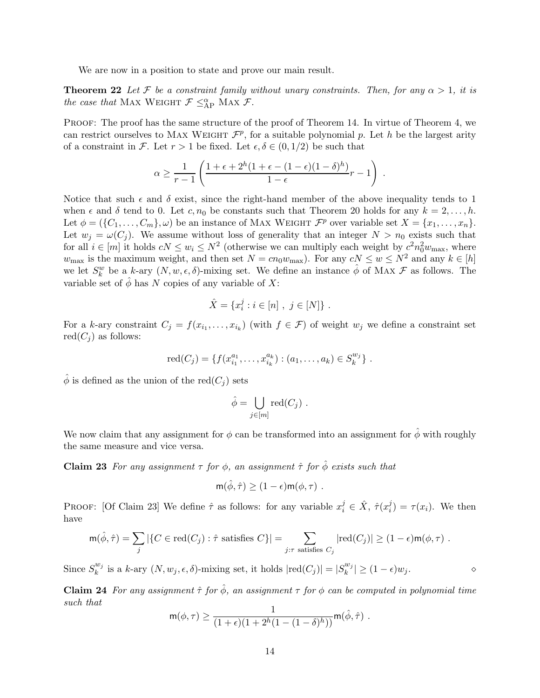We are now in a position to state and prove our main result.

**Theorem 22** Let F be a constraint family without unary constraints. Then, for any  $\alpha > 1$ , it is *the case that* MAX WEIGHT  $\mathcal{F} \leq^{\alpha}_{AP}$  MAX  $\mathcal{F}$ .

PROOF: The proof has the same structure of the proof of Theorem 14. In virtue of Theorem 4, we can restrict ourselves to MAX WEIGHT  $\mathcal{F}^p$ , for a suitable polynomial p. Let h be the largest arity of a constraint in F. Let  $r > 1$  be fixed. Let  $\epsilon, \delta \in (0, 1/2)$  be such that

$$
\alpha \geq \frac{1}{r-1} \left( \frac{1+\epsilon+2^h(1+\epsilon-(1-\epsilon)(1-\delta)^h)}{1-\epsilon}r - 1 \right) .
$$

Notice that such  $\epsilon$  and  $\delta$  exist, since the right-hand member of the above inequality tends to 1 when  $\epsilon$  and  $\delta$  tend to 0. Let  $c, n_0$  be constants such that Theorem 20 holds for any  $k = 2, \ldots, h$ . Let  $\phi = (\{C_1, \ldots, C_m\}, \omega)$  be an instance of MAX WEIGHT  $\mathcal{F}^p$  over variable set  $X = \{x_1, \ldots, x_n\}$ . Let  $w_j = \omega(C_j)$ . We assume without loss of generality that an integer  $N > n_0$  exists such that for all  $i \in [m]$  it holds  $cN \leq w_i \leq N^2$  (otherwise we can multiply each weight by  $c^2n_0^2w_{\text{max}}$ , where  $w_{\text{max}}$  is the maximum weight, and then set  $N = cn_0w_{\text{max}}$ ). For any  $cN \leq w \leq N^2$  and any  $k \in [h]$ we let  $S_k^w$  be a k-ary  $(N, w, \epsilon, \delta)$ -mixing set. We define an instance  $\hat{\phi}$  of MAX  $\mathcal F$  as follows. The variable set of  $\hat{\phi}$  has N copies of any variable of X:

$$
\hat{X} = \{x_i^j : i \in [n], j \in [N]\}.
$$

For a k-ary constraint  $C_j = f(x_{i_1},...,x_{i_k})$  (with  $f \in \mathcal{F}$ ) of weight  $w_j$  we define a constraint set  $red(C_i)$  as follows:

$$
\mathrm{red}(C_j) = \{ f(x_{i_1}^{a_1}, \ldots, x_{i_k}^{a_k}) : (a_1, \ldots, a_k) \in S_k^{w_j} \} .
$$

 $\hat{\phi}$  is defined as the union of the red $(C_i)$  sets

$$
\hat{\phi} = \bigcup_{j \in [m]} \text{red}(C_j) \ .
$$

We now claim that any assignment for  $\phi$  can be transformed into an assignment for  $\hat{\phi}$  with roughly the same measure and vice versa.

**Claim 23** For any assignment  $\tau$  for  $\phi$ , an assignment  $\hat{\tau}$  for  $\hat{\phi}$  exists such that

$$
\mathsf{m}(\hat{\phi}, \hat{\tau}) \geq (1 - \epsilon) \mathsf{m}(\phi, \tau) \ .
$$

PROOF: [Of Claim 23] We define  $\hat{\tau}$  as follows: for any variable  $x_i^j \in \hat{X}$ ,  $\hat{\tau}(x_i^j)$  $\tau_i^j$ ) =  $\tau(x_i)$ . We then have

$$
\mathsf{m}(\hat{\phi}, \hat{\tau}) = \sum_j |\{ C \in \text{red}(C_j) : \hat{\tau} \text{ satisfies } C \}| = \sum_{j: \tau \text{ satisfies } C_j} |\text{red}(C_j)| \geq (1 - \epsilon) \mathsf{m}(\phi, \tau) .
$$

Since  $S_k^{w_j}$  $k_k^{w_j}$  is a k-ary  $(N, w_j, \epsilon, \delta)$ -mixing set, it holds  $|\text{red}(C_j)| = |S_k^{w_j}|$  $|u_j^{(w_j)}| \geq (1 - \epsilon)w_j.$ 

**Claim 24** *For any assignment*  $\hat{\tau}$  *for*  $\hat{\phi}$ *, an assignment*  $\tau$  *for*  $\phi$  *can be computed in polynomial time such that*

$$
\mathsf{m}(\phi,\tau) \geq \frac{1}{(1+\epsilon)(1+2^h(1-(1-\delta)^h))} \mathsf{m}(\hat{\phi},\hat{\tau}) \ .
$$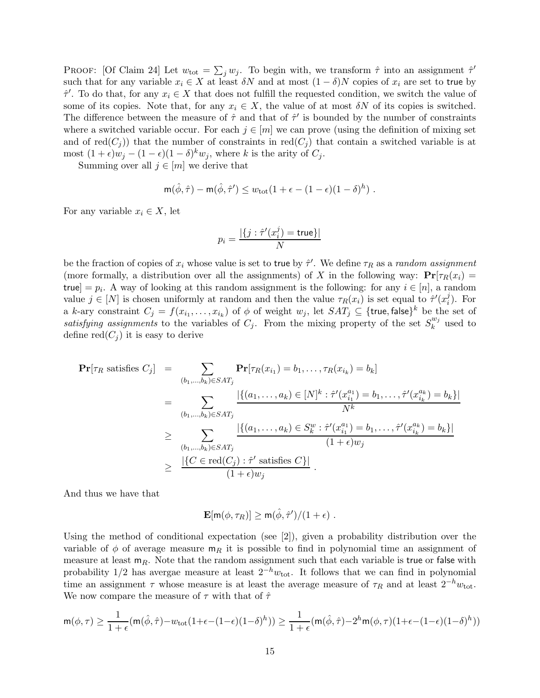PROOF: [Of Claim 24] Let  $w_{\text{tot}} = \sum_j w_j$ . To begin with, we transform  $\hat{\tau}$  into an assignment  $\hat{\tau}'$ such that for any variable  $x_i \in X$  at least  $\delta N$  and at most  $(1 - \delta)N$  copies of  $x_i$  are set to true by  $\hat{\tau}'$ . To do that, for any  $x_i \in X$  that does not fulfill the requested condition, we switch the value of some of its copies. Note that, for any  $x_i \in X$ , the value of at most  $\delta N$  of its copies is switched. The difference between the measure of  $\hat{\tau}$  and that of  $\hat{\tau}'$  is bounded by the number of constraints where a switched variable occur. For each  $j \in [m]$  we can prove (using the definition of mixing set and of red $(C_i)$ ) that the number of constraints in red $(C_i)$  that contain a switched variable is at most  $(1 + \epsilon)w_j - (1 - \epsilon)(1 - \delta)^k w_j$ , where k is the arity of  $C_j$ .

Summing over all  $j \in [m]$  we derive that

$$
\mathsf{m}(\hat{\phi}, \hat{\tau}) - \mathsf{m}(\hat{\phi}, \hat{\tau}') \leq w_{\text{tot}} (1 + \epsilon - (1 - \epsilon)(1 - \delta)^h) .
$$

For any variable  $x_i \in X$ , let

$$
p_i = \frac{|\{j: \hat{\tau}'(x_i^j) = \text{true}\}|}{N}
$$

be the fraction of copies of  $x_i$  whose value is set to true by  $\hat{\tau}'$ . We define  $\tau_R$  as a *random assignment* (more formally, a distribution over all the assignments) of X in the following way:  $Pr[\tau_R(x_i)]$ true] =  $p_i$ . A way of looking at this random assignment is the following: for any  $i \in [n]$ , a random value  $j \in [N]$  is chosen uniformly at random and then the value  $\tau_R(x_i)$  is set equal to  $\hat{\tau}'(x_i)$  $i^j$ ). For a k-ary constraint  $C_j = f(x_{i_1}, \ldots, x_{i_k})$  of  $\phi$  of weight  $w_j$ , let  $SAT_j \subseteq \{\text{true}, \text{false}\}^k$  be the set of satisfying assignments to the variables of  $C_j$ . From the mixing property of the set  $S_k^{w_j}$  $\binom{w_j}{k}$  used to define  $red(C_i)$  it is easy to derive

$$
\begin{split}\n\Pr[\tau_R \text{ satisfies } C_j] &= \sum_{(b_1,\ldots,b_k)\in SAT_j} \Pr[\tau_R(x_{i_1}) = b_1,\ldots,\tau_R(x_{i_k}) = b_k] \\
&= \sum_{(b_1,\ldots,b_k)\in SAT_j} \frac{|\{(a_1,\ldots,a_k)\in [N]^k : \hat{\tau}'(x_{i_1}^{a_1}) = b_1,\ldots,\hat{\tau}'(x_{i_k}^{a_k}) = b_k\}|}{N^k} \\
&\geq \sum_{(b_1,\ldots,b_k)\in SAT_j} \frac{|\{(a_1,\ldots,a_k)\in S_k^w : \hat{\tau}'(x_{i_1}^{a_1}) = b_1,\ldots,\hat{\tau}'(x_{i_k}^{a_k}) = b_k\}|}{(1+\epsilon)w_j} \\
&\geq \frac{|\{C\in \text{red}(C_j) : \hat{\tau}' \text{ satisfies } C\}|}{(1+\epsilon)w_j}.\n\end{split}
$$

And thus we have that

$$
\mathbf{E}[\mathsf{m}(\phi,\tau_R)] \geq \mathsf{m}(\hat{\phi},\hat{\tau}')/(1+\epsilon) \ .
$$

Using the method of conditional expectation (see [2]), given a probability distribution over the variable of  $\phi$  of average measure  $m_R$  it is possible to find in polynomial time an assignment of measure at least  $m_R$ . Note that the random assignment such that each variable is true or false with probability 1/2 has avergae measure at least  $2^{-h}w_{\text{tot}}$ . It follows that we can find in polynomial time an assignment  $\tau$  whose measure is at least the average measure of  $\tau_R$  and at least  $2^{-h}w_{\text{tot}}$ . We now compare the measure of  $\tau$  with that of  $\hat{\tau}$ 

$$
\mathsf m(\phi,\tau) \geq \frac{1}{1+\epsilon}(\mathsf m(\hat \phi,\hat \tau) - w_\mathrm{tot}(1+\epsilon-(1-\epsilon)(1-\delta)^h)) \geq \frac{1}{1+\epsilon}(\mathsf m(\hat \phi,\hat \tau) - 2^h \mathsf m(\phi,\tau)(1+\epsilon-(1-\epsilon)(1-\delta)^h))
$$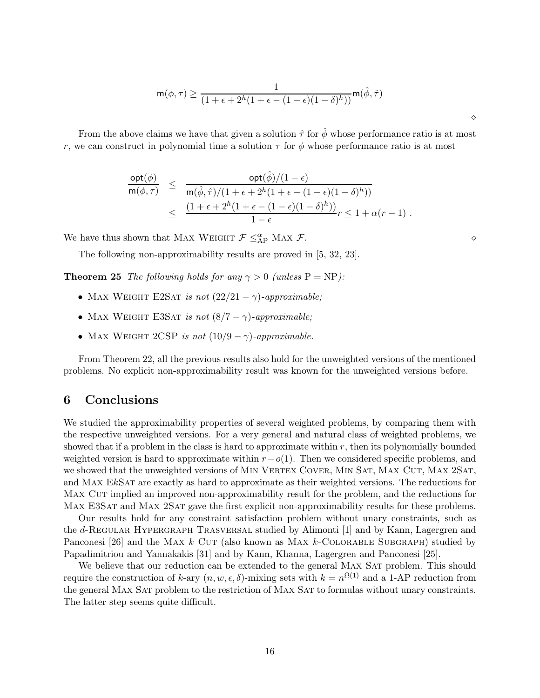$$
\mathsf{m}(\phi,\tau) \ge \frac{1}{(1+\epsilon+2^h(1+\epsilon-(1-\epsilon)(1-\delta)^h))}\mathsf{m}(\hat{\phi},\hat{\tau})
$$

From the above claims we have that given a solution  $\hat{\tau}$  for  $\hat{\phi}$  whose performance ratio is at most r, we can construct in polynomial time a solution  $\tau$  for  $\phi$  whose performance ratio is at most

$$
\frac{\mathsf{opt}(\phi)}{\mathsf{m}(\phi,\tau)} \leq \frac{\mathsf{opt}(\hat{\phi})/(1-\epsilon)}{\mathsf{m}(\hat{\phi},\hat{\tau})/(1+\epsilon+2^h(1+\epsilon-(1-\epsilon)(1-\delta)^h))} \leq \frac{(1+\epsilon+2^h(1+\epsilon-(1-\epsilon)(1-\delta)^h))}{1-\epsilon}r \leq 1+\alpha(r-1).
$$

We have thus shown that MAX WEIGHT  $\mathcal{F} \leq_{\text{AP}}^{\alpha}$  MAX  $\mathcal{F}$ .

The following non-approximability results are proved in [5, 32, 23].

**Theorem 25** *The following holds for any*  $\gamma > 0$  *(unless*  $P = NP$ *):* 

- MAX WEIGHT E2SAT *is not*  $(22/21 \gamma)$ *-approximable;*
- MAX WEIGHT E3SAT *is not*  $(8/7 \gamma)$ *-approximable;*
- MAX WEIGHT 2CSP *is not*  $(10/9 \gamma)$ *-approximable.*

From Theorem 22, all the previous results also hold for the unweighted versions of the mentioned problems. No explicit non-approximability result was known for the unweighted versions before.

# 6 Conclusions

We studied the approximability properties of several weighted problems, by comparing them with the respective unweighted versions. For a very general and natural class of weighted problems, we showed that if a problem in the class is hard to approximate within  $r$ , then its polynomially bounded weighted version is hard to approximate within  $r-o(1)$ . Then we considered specific problems, and we showed that the unweighted versions of MIN VERTEX COVER, MIN SAT, MAX CUT, MAX 2SAT. and MAX EkSAT are exactly as hard to approximate as their weighted versions. The reductions for Max Cut implied an improved non-approximability result for the problem, and the reductions for MAX E3SAT and MAX 2SAT gave the first explicit non-approximability results for these problems.

Our results hold for any constraint satisfaction problem without unary constraints, such as the d-Regular Hypergraph Trasversal studied by Alimonti [1] and by Kann, Lagergren and Panconesi [26] and the MAX  $k$  CUT (also known as MAX  $k$ -COLORABLE SUBGRAPH) studied by Papadimitriou and Yannakakis [31] and by Kann, Khanna, Lagergren and Panconesi [25].

We believe that our reduction can be extended to the general MAX SAT problem. This should require the construction of k-ary  $(n, w, \epsilon, \delta)$ -mixing sets with  $k = n^{\Omega(1)}$  and a 1-AP reduction from the general Max Sat problem to the restriction of Max Sat to formulas without unary constraints. The latter step seems quite difficult.

⋄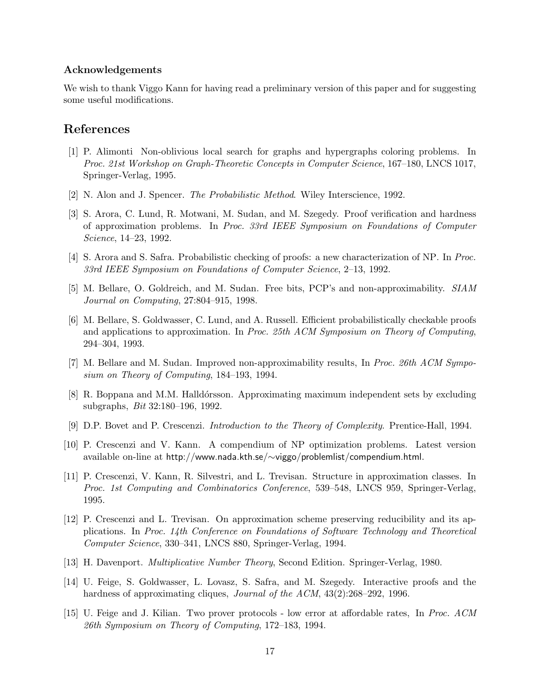### Acknowledgements

We wish to thank Viggo Kann for having read a preliminary version of this paper and for suggesting some useful modifications.

# References

- [1] P. Alimonti Non-oblivious local search for graphs and hypergraphs coloring problems. In *Proc. 21st Workshop on Graph-Theoretic Concepts in Computer Science*, 167–180, LNCS 1017, Springer-Verlag, 1995.
- [2] N. Alon and J. Spencer. *The Probabilistic Method*. Wiley Interscience, 1992.
- [3] S. Arora, C. Lund, R. Motwani, M. Sudan, and M. Szegedy. Proof verification and hardness of approximation problems. In *Proc. 33rd IEEE Symposium on Foundations of Computer Science*, 14–23, 1992.
- [4] S. Arora and S. Safra. Probabilistic checking of proofs: a new characterization of NP. In *Proc. 33rd IEEE Symposium on Foundations of Computer Science*, 2–13, 1992.
- [5] M. Bellare, O. Goldreich, and M. Sudan. Free bits, PCP's and non-approximability. *SIAM Journal on Computing*, 27:804–915, 1998.
- [6] M. Bellare, S. Goldwasser, C. Lund, and A. Russell. Efficient probabilistically checkable proofs and applications to approximation. In *Proc. 25th ACM Symposium on Theory of Computing*, 294–304, 1993.
- [7] M. Bellare and M. Sudan. Improved non-approximability results, In *Proc. 26th ACM Symposium on Theory of Computing*, 184–193, 1994.
- [8] R. Boppana and M.M. Halldórsson. Approximating maximum independent sets by excluding subgraphs, *Bit* 32:180–196, 1992.
- [9] D.P. Bovet and P. Crescenzi. *Introduction to the Theory of Complexity*. Prentice-Hall, 1994.
- [10] P. Crescenzi and V. Kann. A compendium of NP optimization problems. Latest version available on-line at http://www.nada.kth.se/∼viggo/problemlist/compendium.html.
- [11] P. Crescenzi, V. Kann, R. Silvestri, and L. Trevisan. Structure in approximation classes. In *Proc. 1st Computing and Combinatorics Conference*, 539–548, LNCS 959, Springer-Verlag, 1995.
- [12] P. Crescenzi and L. Trevisan. On approximation scheme preserving reducibility and its applications. In *Proc. 14th Conference on Foundations of Software Technology and Theoretical Computer Science*, 330–341, LNCS 880, Springer-Verlag, 1994.
- [13] H. Davenport. *Multiplicative Number Theory*, Second Edition. Springer-Verlag, 1980.
- [14] U. Feige, S. Goldwasser, L. Lovasz, S. Safra, and M. Szegedy. Interactive proofs and the hardness of approximating cliques, *Journal of the ACM*, 43(2):268–292, 1996.
- [15] U. Feige and J. Kilian. Two prover protocols low error at affordable rates, In *Proc. ACM 26th Symposium on Theory of Computing*, 172–183, 1994.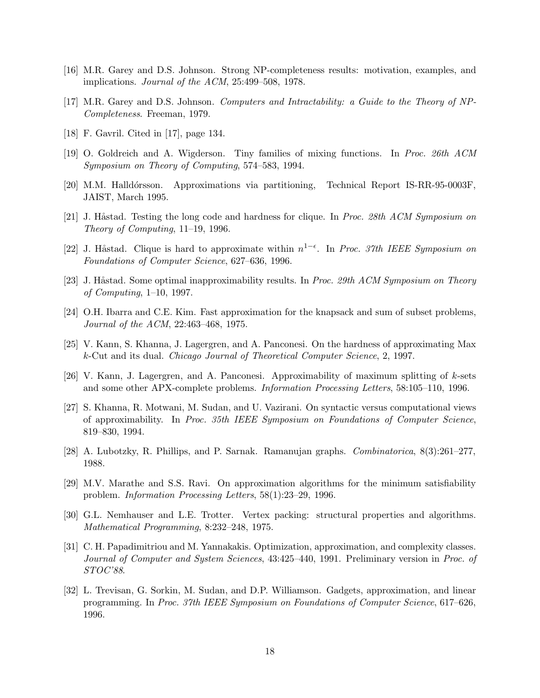- [16] M.R. Garey and D.S. Johnson. Strong NP-completeness results: motivation, examples, and implications. *Journal of the ACM*, 25:499–508, 1978.
- [17] M.R. Garey and D.S. Johnson. *Computers and Intractability: a Guide to the Theory of NP-Completeness*. Freeman, 1979.
- [18] F. Gavril. Cited in [17], page 134.
- [19] O. Goldreich and A. Wigderson. Tiny families of mixing functions. In *Proc. 26th ACM Symposium on Theory of Computing*, 574–583, 1994.
- [20] M.M. Halldórsson. Approximations via partitioning, Technical Report IS-RR-95-0003F. JAIST, March 1995.
- [21] J. Håstad. Testing the long code and hardness for clique. In *Proc. 28th ACM Symposium on Theory of Computing*, 11–19, 1996.
- [22] J. Håstad. Clique is hard to approximate within  $n^{1-\epsilon}$ . In *Proc. 37th IEEE Symposium on Foundations of Computer Science*, 627–636, 1996.
- [23] J. Håstad. Some optimal inapproximability results. In *Proc. 29th ACM Symposium on Theory of Computing*, 1–10, 1997.
- [24] O.H. Ibarra and C.E. Kim. Fast approximation for the knapsack and sum of subset problems, *Journal of the ACM*, 22:463–468, 1975.
- [25] V. Kann, S. Khanna, J. Lagergren, and A. Panconesi. On the hardness of approximating Max k-Cut and its dual. *Chicago Journal of Theoretical Computer Science*, 2, 1997.
- [26] V. Kann, J. Lagergren, and A. Panconesi. Approximability of maximum splitting of k-sets and some other APX-complete problems. *Information Processing Letters*, 58:105–110, 1996.
- [27] S. Khanna, R. Motwani, M. Sudan, and U. Vazirani. On syntactic versus computational views of approximability. In *Proc. 35th IEEE Symposium on Foundations of Computer Science*, 819–830, 1994.
- [28] A. Lubotzky, R. Phillips, and P. Sarnak. Ramanujan graphs. *Combinatorica*, 8(3):261–277, 1988.
- [29] M.V. Marathe and S.S. Ravi. On approximation algorithms for the minimum satisfiability problem. *Information Processing Letters*, 58(1):23–29, 1996.
- [30] G.L. Nemhauser and L.E. Trotter. Vertex packing: structural properties and algorithms. *Mathematical Programming*, 8:232–248, 1975.
- [31] C. H. Papadimitriou and M. Yannakakis. Optimization, approximation, and complexity classes. *Journal of Computer and System Sciences*, 43:425–440, 1991. Preliminary version in *Proc. of STOC'88*.
- [32] L. Trevisan, G. Sorkin, M. Sudan, and D.P. Williamson. Gadgets, approximation, and linear programming. In *Proc. 37th IEEE Symposium on Foundations of Computer Science*, 617–626, 1996.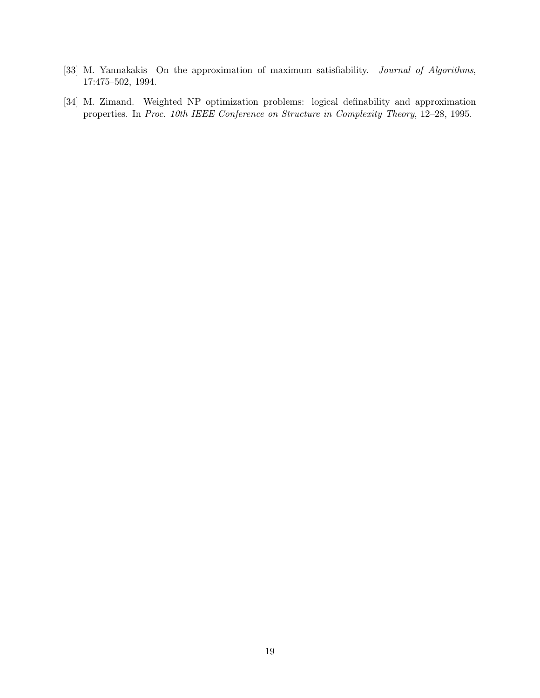- [33] M. Yannakakis On the approximation of maximum satisfiability. *Journal of Algorithms*, 17:475–502, 1994.
- [34] M. Zimand. Weighted NP optimization problems: logical definability and approximation properties. In *Proc. 10th IEEE Conference on Structure in Complexity Theory*, 12–28, 1995.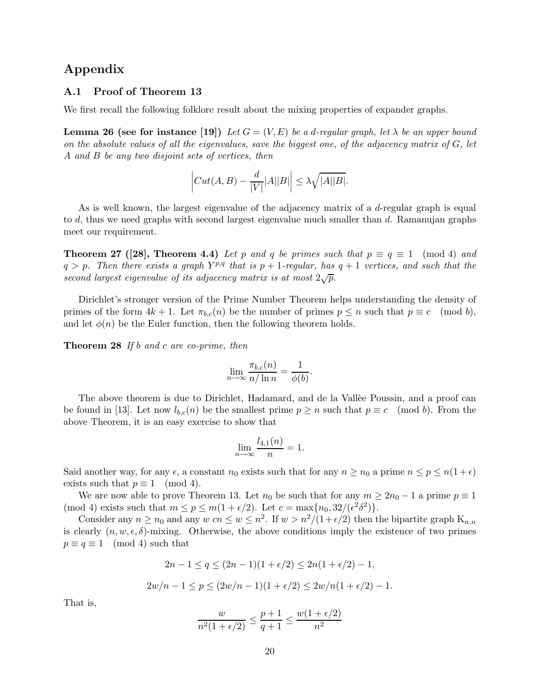# Appendix

### A.1 Proof of Theorem 13

We first recall the following folklore result about the mixing properties of expander graphs.

**Lemma 26 (see for instance [19])** Let  $G = (V, E)$  be a d-regular graph, let  $\lambda$  be an upper bound *on the absolute values of all the eigenvalues, save the biggest one, of the adjacency matrix of* G*, let* A *and* B *be any two disjoint sets of vertices, then*

$$
\left| Cut(A, B) - \frac{d}{|V|} |A||B| \right| \leq \lambda \sqrt{|A||B|}.
$$

As is well known, the largest eigenvalue of the adjacency matrix of a d-regular graph is equal to d, thus we need graphs with second largest eigenvalue much smaller than d. Ramanujan graphs meet our requirement.

**Theorem 27** ([28], Theorem 4.4) Let p and q be primes such that  $p \equiv q \equiv 1 \pmod{4}$  and  $q > p$ . Then there exists a graph  $Y^{p,q}$  that is  $p + 1$ -regular, has  $q + 1$  vertices, and such that the *second largest eigenvalue of its adjacency matrix is at most*  $2\sqrt{p}$ *.* 

Dirichlet's stronger version of the Prime Number Theorem helps understanding the density of primes of the form  $4k + 1$ . Let  $\pi_{b,c}(n)$  be the number of primes  $p \leq n$  such that  $p \equiv c \pmod{b}$ , and let  $\phi(n)$  be the Euler function, then the following theorem holds.

Theorem 28 *If* b *and* c *are co-prime, then*

$$
\lim_{n \to \infty} \frac{\pi_{b,c}(n)}{n/\ln n} = \frac{1}{\phi(b)}.
$$

The above theorem is due to Dirichlet, Hadamard, and de la Vallèe Poussin, and a proof can be found in [13]. Let now  $l_{b,c}(n)$  be the smallest prime  $p \geq n$  such that  $p \equiv c \pmod{b}$ . From the above Theorem, it is an easy exercise to show that

$$
\lim_{n \to \infty} \frac{l_{4,1}(n)}{n} = 1.
$$

Said another way, for any  $\epsilon$ , a constant  $n_0$  exists such that for any  $n \geq n_0$  a prime  $n \leq p \leq n(1+\epsilon)$ exists such that  $p \equiv 1 \pmod{4}$ .

We are now able to prove Theorem 13. Let  $n_0$  be such that for any  $m \geq 2n_0 - 1$  a prime  $p \equiv 1$ (mod 4) exists such that  $m \le p \le m(1 + \epsilon/2)$ . Let  $c = \max\{n_0, 32/(\epsilon^2 \delta^2)\}.$ 

Consider any  $n \ge n_0$  and any  $w cn \le w \le n^2$ . If  $w > n^2/(1+\epsilon/2)$  then the bipartite graph  $K_{n,n}$ is clearly  $(n, w, \epsilon, \delta)$ -mixing. Otherwise, the above conditions imply the existence of two primes  $p \equiv q \equiv 1 \pmod{4}$  such that

$$
2n - 1 \le q \le (2n - 1)(1 + \epsilon/2) \le 2n(1 + \epsilon/2) - 1,
$$
  

$$
2w/n - 1 \le p \le (2w/n - 1)(1 + \epsilon/2) \le 2w/n(1 + \epsilon/2) - 1.
$$

That is,

$$
\frac{w}{n^2(1+\epsilon/2)} \le \frac{p+1}{q+1} \le \frac{w(1+\epsilon/2)}{n^2}
$$